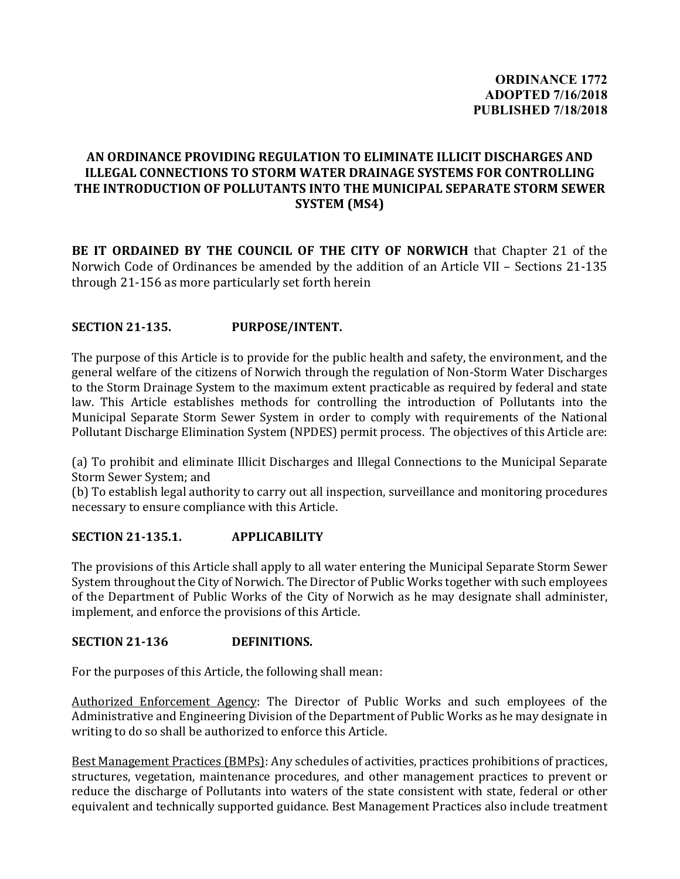# **AN ORDINANCE PROVIDING REGULATION TO ELIMINATE ILLICIT DISCHARGES AND ILLEGAL CONNECTIONS TO STORM WATER DRAINAGE SYSTEMS FOR CONTROLLING THE INTRODUCTION OF POLLUTANTS INTO THE MUNICIPAL SEPARATE STORM SEWER SYSTEM (MS4)**

**BE IT ORDAINED BY THE COUNCIL OF THE CITY OF NORWICH** that Chapter 21 of the Norwich Code of Ordinances be amended by the addition of an Article VII – Sections 21-135 through 21-156 as more particularly set forth herein

## **SECTION 21-135. PURPOSE/INTENT.**

The purpose of this Article is to provide for the public health and safety, the environment, and the general welfare of the citizens of Norwich through the regulation of Non-Storm Water Discharges to the Storm Drainage System to the maximum extent practicable as required by federal and state law. This Article establishes methods for controlling the introduction of Pollutants into the Municipal Separate Storm Sewer System in order to comply with requirements of the National Pollutant Discharge Elimination System (NPDES) permit process. The objectives of this Article are:

(a) To prohibit and eliminate Illicit Discharges and Illegal Connections to the Municipal Separate Storm Sewer System; and

(b) To establish legal authority to carry out all inspection, surveillance and monitoring procedures necessary to ensure compliance with this Article.

## **SECTION 21-135.1. APPLICABILITY**

The provisions of this Article shall apply to all water entering the Municipal Separate Storm Sewer System throughout the City of Norwich. The Director of Public Works together with such employees of the Department of Public Works of the City of Norwich as he may designate shall administer, implement, and enforce the provisions of this Article.

## **SECTION 21-136 DEFINITIONS.**

For the purposes of this Article, the following shall mean:

Authorized Enforcement Agency: The Director of Public Works and such employees of the Administrative and Engineering Division of the Department of Public Works as he may designate in writing to do so shall be authorized to enforce this Article.

Best Management Practices (BMPs): Any schedules of activities, practices prohibitions of practices, structures, vegetation, maintenance procedures, and other management practices to prevent or reduce the discharge of Pollutants into waters of the state consistent with state, federal or other equivalent and technically supported guidance. Best Management Practices also include treatment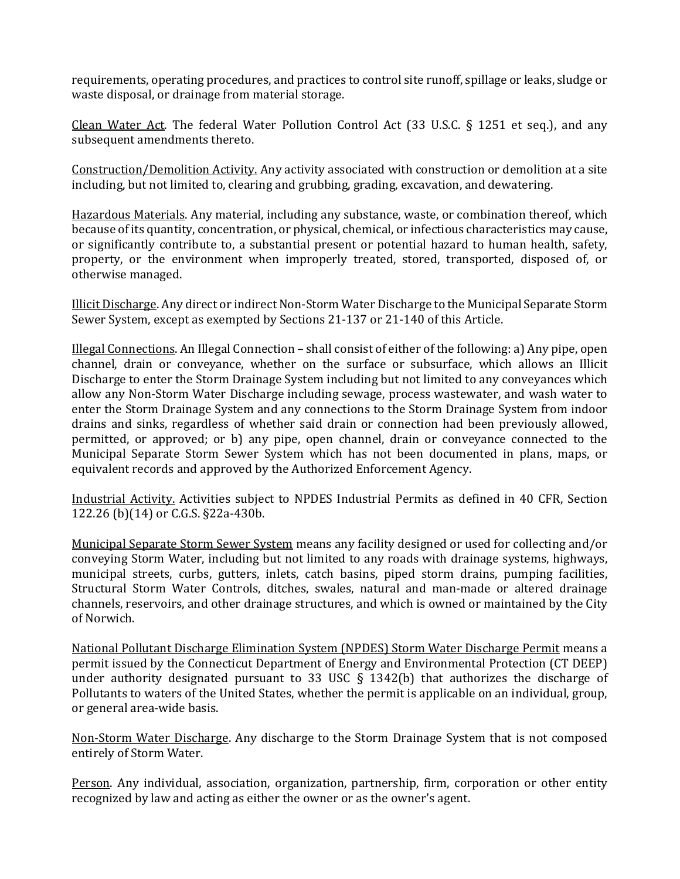requirements, operating procedures, and practices to control site runoff, spillage or leaks, sludge or waste disposal, or drainage from material storage.

Clean Water Act. The federal Water Pollution Control Act (33 U.S.C. § 1251 et seq.), and any subsequent amendments thereto.

Construction/Demolition Activity. Any activity associated with construction or demolition at a site including, but not limited to, clearing and grubbing, grading, excavation, and dewatering.

Hazardous Materials. Any material, including any substance, waste, or combination thereof, which because of its quantity, concentration, or physical, chemical, or infectious characteristics may cause, or significantly contribute to, a substantial present or potential hazard to human health, safety, property, or the environment when improperly treated, stored, transported, disposed of, or otherwise managed.

Illicit Discharge. Any direct or indirect Non-Storm Water Discharge to the Municipal Separate Storm Sewer System, except as exempted by Sections 21-137 or 21-140 of this Article.

Illegal Connections. An Illegal Connection – shall consist of either of the following: a) Any pipe, open channel, drain or conveyance, whether on the surface or subsurface, which allows an Illicit Discharge to enter the Storm Drainage System including but not limited to any conveyances which allow any Non-Storm Water Discharge including sewage, process wastewater, and wash water to enter the Storm Drainage System and any connections to the Storm Drainage System from indoor drains and sinks, regardless of whether said drain or connection had been previously allowed, permitted, or approved; or b) any pipe, open channel, drain or conveyance connected to the Municipal Separate Storm Sewer System which has not been documented in plans, maps, or equivalent records and approved by the Authorized Enforcement Agency.

Industrial Activity. Activities subject to NPDES Industrial Permits as defined in 40 CFR, Section 122.26 (b)(14) or C.G.S. §22a-430b.

Municipal Separate Storm Sewer System means any facility designed or used for collecting and/or conveying Storm Water, including but not limited to any roads with drainage systems, highways, municipal streets, curbs, gutters, inlets, catch basins, piped storm drains, pumping facilities, Structural Storm Water Controls, ditches, swales, natural and man-made or altered drainage channels, reservoirs, and other drainage structures, and which is owned or maintained by the City of Norwich.

National Pollutant Discharge Elimination System (NPDES) Storm Water Discharge Permit means a permit issued by the Connecticut Department of Energy and Environmental Protection (CT DEEP) under authority designated pursuant to 33 USC  $\S$  1342(b) that authorizes the discharge of Pollutants to waters of the United States, whether the permit is applicable on an individual, group, or general area-wide basis.

Non-Storm Water Discharge. Any discharge to the Storm Drainage System that is not composed entirely of Storm Water.

Person. Any individual, association, organization, partnership, firm, corporation or other entity recognized by law and acting as either the owner or as the owner's agent.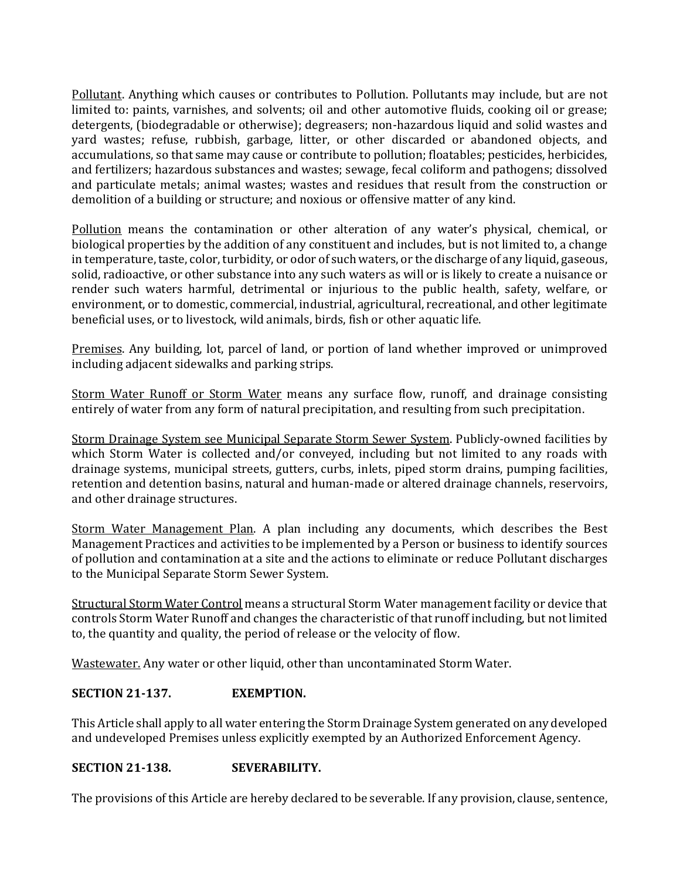Pollutant. Anything which causes or contributes to Pollution. Pollutants may include, but are not limited to: paints, varnishes, and solvents; oil and other automotive fluids, cooking oil or grease; detergents, (biodegradable or otherwise); degreasers; non-hazardous liquid and solid wastes and yard wastes; refuse, rubbish, garbage, litter, or other discarded or abandoned objects, and accumulations, so that same may cause or contribute to pollution; floatables; pesticides, herbicides, and fertilizers; hazardous substances and wastes; sewage, fecal coliform and pathogens; dissolved and particulate metals; animal wastes; wastes and residues that result from the construction or demolition of a building or structure; and noxious or offensive matter of any kind.

Pollution means the contamination or other alteration of any water's physical, chemical, or biological properties by the addition of any constituent and includes, but is not limited to, a change in temperature, taste, color, turbidity, or odor of such waters, or the discharge of any liquid, gaseous, solid, radioactive, or other substance into any such waters as will or is likely to create a nuisance or render such waters harmful, detrimental or injurious to the public health, safety, welfare, or environment, or to domestic, commercial, industrial, agricultural, recreational, and other legitimate beneficial uses, or to livestock, wild animals, birds, fish or other aquatic life.

Premises. Any building, lot, parcel of land, or portion of land whether improved or unimproved including adjacent sidewalks and parking strips.

Storm Water Runoff or Storm Water means any surface flow, runoff, and drainage consisting entirely of water from any form of natural precipitation, and resulting from such precipitation.

Storm Drainage System see Municipal Separate Storm Sewer System. Publicly-owned facilities by which Storm Water is collected and/or conveyed, including but not limited to any roads with drainage systems, municipal streets, gutters, curbs, inlets, piped storm drains, pumping facilities, retention and detention basins, natural and human-made or altered drainage channels, reservoirs, and other drainage structures.

Storm Water Management Plan. A plan including any documents, which describes the Best Management Practices and activities to be implemented by a Person or business to identify sources of pollution and contamination at a site and the actions to eliminate or reduce Pollutant discharges to the Municipal Separate Storm Sewer System.

Structural Storm Water Control means a structural Storm Water management facility or device that controls Storm Water Runoff and changes the characteristic of that runoff including, but not limited to, the quantity and quality, the period of release or the velocity of flow.

Wastewater. Any water or other liquid, other than uncontaminated Storm Water.

## **SECTION 21-137. EXEMPTION.**

This Article shall apply to all water entering the Storm Drainage System generated on any developed and undeveloped Premises unless explicitly exempted by an Authorized Enforcement Agency.

## **SECTION 21-138. SEVERABILITY.**

The provisions of this Article are hereby declared to be severable. If any provision, clause, sentence,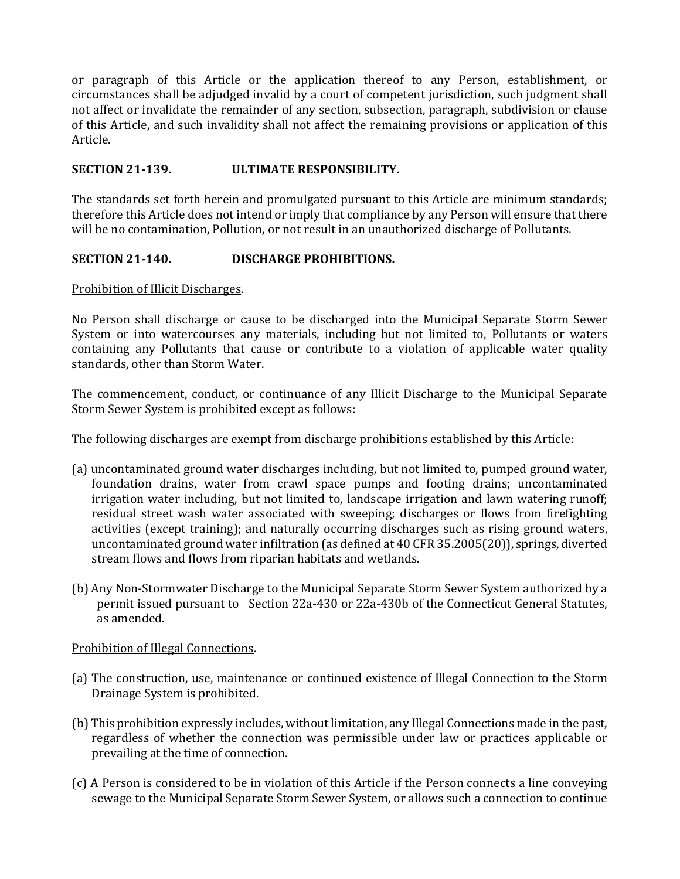or paragraph of this Article or the application thereof to any Person, establishment, or circumstances shall be adjudged invalid by a court of competent jurisdiction, such judgment shall not affect or invalidate the remainder of any section, subsection, paragraph, subdivision or clause of this Article, and such invalidity shall not affect the remaining provisions or application of this Article.

### **SECTION 21-139. ULTIMATE RESPONSIBILITY.**

The standards set forth herein and promulgated pursuant to this Article are minimum standards; therefore this Article does not intend or imply that compliance by any Person will ensure that there will be no contamination, Pollution, or not result in an unauthorized discharge of Pollutants.

#### **SECTION 21-140. DISCHARGE PROHIBITIONS.**

Prohibition of Illicit Discharges.

No Person shall discharge or cause to be discharged into the Municipal Separate Storm Sewer System or into watercourses any materials, including but not limited to, Pollutants or waters containing any Pollutants that cause or contribute to a violation of applicable water quality standards, other than Storm Water.

The commencement, conduct, or continuance of any Illicit Discharge to the Municipal Separate Storm Sewer System is prohibited except as follows:

The following discharges are exempt from discharge prohibitions established by this Article:

- (a) uncontaminated ground water discharges including, but not limited to, pumped ground water, foundation drains, water from crawl space pumps and footing drains; uncontaminated irrigation water including, but not limited to, landscape irrigation and lawn watering runoff; residual street wash water associated with sweeping; discharges or flows from firefighting activities (except training); and naturally occurring discharges such as rising ground waters, uncontaminated ground water infiltration (as defined at 40 CFR 35.2005(20)), springs, diverted stream flows and flows from riparian habitats and wetlands.
- (b) Any Non-Stormwater Discharge to the Municipal Separate Storm Sewer System authorized by a permit issued pursuant to Section 22a-430 or 22a-430b of the Connecticut General Statutes, as amended.

#### Prohibition of Illegal Connections.

- (a) The construction, use, maintenance or continued existence of Illegal Connection to the Storm Drainage System is prohibited.
- (b) This prohibition expressly includes, without limitation, any Illegal Connections made in the past, regardless of whether the connection was permissible under law or practices applicable or prevailing at the time of connection.
- (c) A Person is considered to be in violation of this Article if the Person connects a line conveying sewage to the Municipal Separate Storm Sewer System, or allows such a connection to continue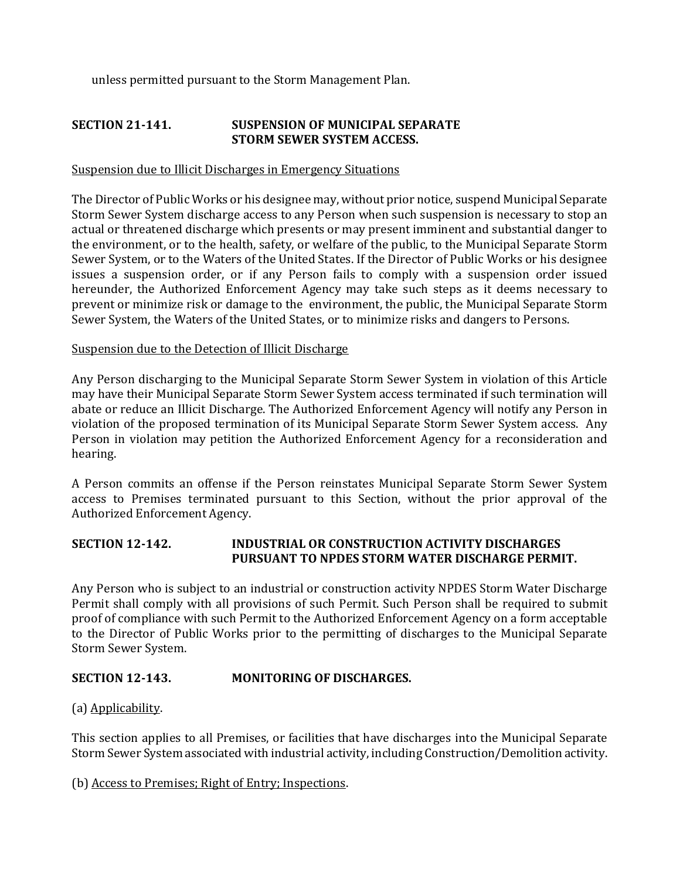unless permitted pursuant to the Storm Management Plan.

## **SECTION 21-141. SUSPENSION OF MUNICIPAL SEPARATE STORM SEWER SYSTEM ACCESS.**

#### Suspension due to Illicit Discharges in Emergency Situations

The Director of Public Works or his designee may, without prior notice, suspend Municipal Separate Storm Sewer System discharge access to any Person when such suspension is necessary to stop an actual or threatened discharge which presents or may present imminent and substantial danger to the environment, or to the health, safety, or welfare of the public, to the Municipal Separate Storm Sewer System, or to the Waters of the United States. If the Director of Public Works or his designee issues a suspension order, or if any Person fails to comply with a suspension order issued hereunder, the Authorized Enforcement Agency may take such steps as it deems necessary to prevent or minimize risk or damage to the environment, the public, the Municipal Separate Storm Sewer System, the Waters of the United States, or to minimize risks and dangers to Persons.

#### Suspension due to the Detection of Illicit Discharge

Any Person discharging to the Municipal Separate Storm Sewer System in violation of this Article may have their Municipal Separate Storm Sewer System access terminated if such termination will abate or reduce an Illicit Discharge. The Authorized Enforcement Agency will notify any Person in violation of the proposed termination of its Municipal Separate Storm Sewer System access. Any Person in violation may petition the Authorized Enforcement Agency for a reconsideration and hearing.

A Person commits an offense if the Person reinstates Municipal Separate Storm Sewer System access to Premises terminated pursuant to this Section, without the prior approval of the Authorized Enforcement Agency.

### **SECTION 12-142. INDUSTRIAL OR CONSTRUCTION ACTIVITY DISCHARGES PURSUANT TO NPDES STORM WATER DISCHARGE PERMIT.**

Any Person who is subject to an industrial or construction activity NPDES Storm Water Discharge Permit shall comply with all provisions of such Permit. Such Person shall be required to submit proof of compliance with such Permit to the Authorized Enforcement Agency on a form acceptable to the Director of Public Works prior to the permitting of discharges to the Municipal Separate Storm Sewer System.

#### **SECTION 12-143. MONITORING OF DISCHARGES.**

(a) Applicability.

This section applies to all Premises, or facilities that have discharges into the Municipal Separate Storm Sewer System associated with industrial activity, including Construction/Demolition activity.

#### (b) Access to Premises; Right of Entry; Inspections.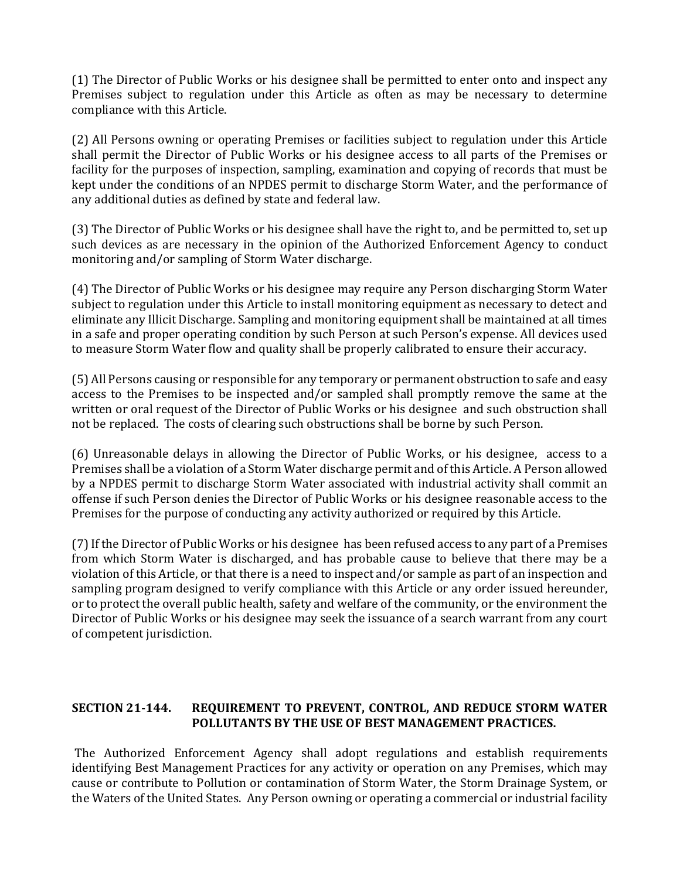(1) The Director of Public Works or his designee shall be permitted to enter onto and inspect any Premises subject to regulation under this Article as often as may be necessary to determine compliance with this Article.

(2) All Persons owning or operating Premises or facilities subject to regulation under this Article shall permit the Director of Public Works or his designee access to all parts of the Premises or facility for the purposes of inspection, sampling, examination and copying of records that must be kept under the conditions of an NPDES permit to discharge Storm Water, and the performance of any additional duties as defined by state and federal law.

(3) The Director of Public Works or his designee shall have the right to, and be permitted to, set up such devices as are necessary in the opinion of the Authorized Enforcement Agency to conduct monitoring and/or sampling of Storm Water discharge.

(4) The Director of Public Works or his designee may require any Person discharging Storm Water subject to regulation under this Article to install monitoring equipment as necessary to detect and eliminate any Illicit Discharge. Sampling and monitoring equipment shall be maintained at all times in a safe and proper operating condition by such Person at such Person's expense. All devices used to measure Storm Water flow and quality shall be properly calibrated to ensure their accuracy.

(5) All Persons causing or responsible for any temporary or permanent obstruction to safe and easy access to the Premises to be inspected and/or sampled shall promptly remove the same at the written or oral request of the Director of Public Works or his designee and such obstruction shall not be replaced. The costs of clearing such obstructions shall be borne by such Person.

(6) Unreasonable delays in allowing the Director of Public Works, or his designee, access to a Premises shall be a violation of a Storm Water discharge permit and of this Article. A Person allowed by a NPDES permit to discharge Storm Water associated with industrial activity shall commit an offense if such Person denies the Director of Public Works or his designee reasonable access to the Premises for the purpose of conducting any activity authorized or required by this Article.

(7) If the Director of Public Works or his designee has been refused access to any part of a Premises from which Storm Water is discharged, and has probable cause to believe that there may be a violation of this Article, or that there is a need to inspect and/or sample as part of an inspection and sampling program designed to verify compliance with this Article or any order issued hereunder, or to protect the overall public health, safety and welfare of the community, or the environment the Director of Public Works or his designee may seek the issuance of a search warrant from any court of competent jurisdiction.

## **SECTION 21-144. REQUIREMENT TO PREVENT, CONTROL, AND REDUCE STORM WATER POLLUTANTS BY THE USE OF BEST MANAGEMENT PRACTICES.**

 The Authorized Enforcement Agency shall adopt regulations and establish requirements identifying Best Management Practices for any activity or operation on any Premises, which may cause or contribute to Pollution or contamination of Storm Water, the Storm Drainage System, or the Waters of the United States. Any Person owning or operating a commercial or industrial facility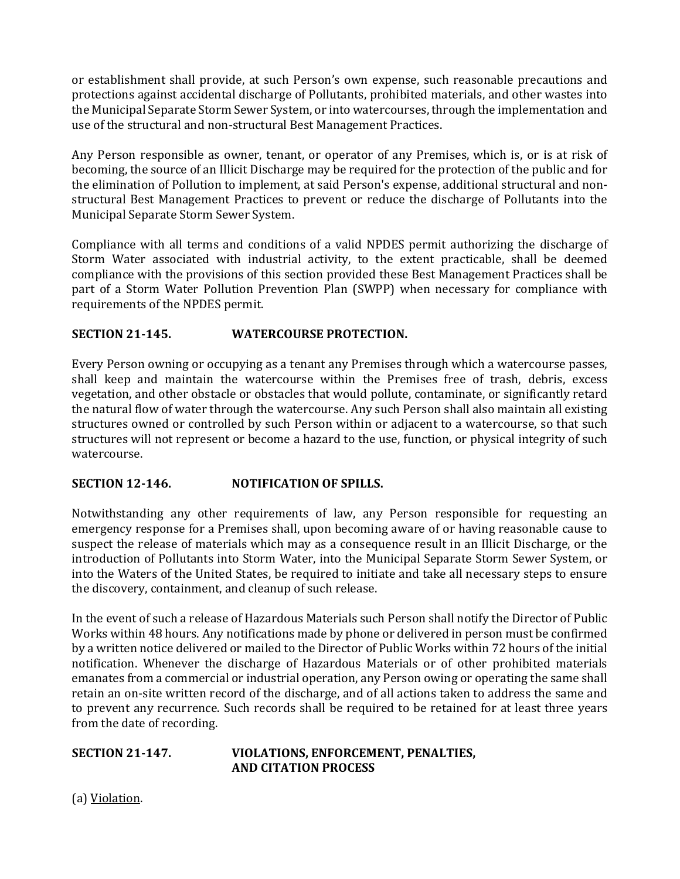or establishment shall provide, at such Person's own expense, such reasonable precautions and protections against accidental discharge of Pollutants, prohibited materials, and other wastes into the Municipal Separate Storm Sewer System, or into watercourses, through the implementation and use of the structural and non-structural Best Management Practices.

Any Person responsible as owner, tenant, or operator of any Premises, which is, or is at risk of becoming, the source of an Illicit Discharge may be required for the protection of the public and for the elimination of Pollution to implement, at said Person's expense, additional structural and nonstructural Best Management Practices to prevent or reduce the discharge of Pollutants into the Municipal Separate Storm Sewer System.

Compliance with all terms and conditions of a valid NPDES permit authorizing the discharge of Storm Water associated with industrial activity, to the extent practicable, shall be deemed compliance with the provisions of this section provided these Best Management Practices shall be part of a Storm Water Pollution Prevention Plan (SWPP) when necessary for compliance with requirements of the NPDES permit.

## **SECTION 21-145. WATERCOURSE PROTECTION.**

Every Person owning or occupying as a tenant any Premises through which a watercourse passes, shall keep and maintain the watercourse within the Premises free of trash, debris, excess vegetation, and other obstacle or obstacles that would pollute, contaminate, or significantly retard the natural flow of water through the watercourse. Any such Person shall also maintain all existing structures owned or controlled by such Person within or adjacent to a watercourse, so that such structures will not represent or become a hazard to the use, function, or physical integrity of such watercourse.

#### **SECTION 12-146. NOTIFICATION OF SPILLS.**

Notwithstanding any other requirements of law, any Person responsible for requesting an emergency response for a Premises shall, upon becoming aware of or having reasonable cause to suspect the release of materials which may as a consequence result in an Illicit Discharge, or the introduction of Pollutants into Storm Water, into the Municipal Separate Storm Sewer System, or into the Waters of the United States, be required to initiate and take all necessary steps to ensure the discovery, containment, and cleanup of such release.

In the event of such a release of Hazardous Materials such Person shall notify the Director of Public Works within 48 hours. Any notifications made by phone or delivered in person must be confirmed by a written notice delivered or mailed to the Director of Public Works within 72 hours of the initial notification. Whenever the discharge of Hazardous Materials or of other prohibited materials emanates from a commercial or industrial operation, any Person owing or operating the same shall retain an on-site written record of the discharge, and of all actions taken to address the same and to prevent any recurrence. Such records shall be required to be retained for at least three years from the date of recording.

#### **SECTION 21-147. VIOLATIONS, ENFORCEMENT, PENALTIES, AND CITATION PROCESS**

(a) Violation.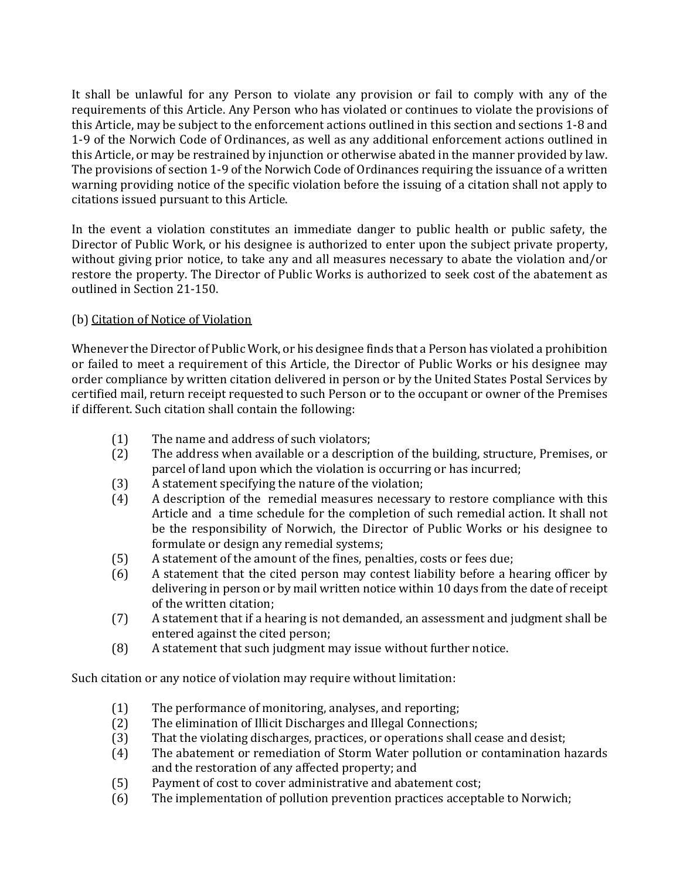It shall be unlawful for any Person to violate any provision or fail to comply with any of the requirements of this Article. Any Person who has violated or continues to violate the provisions of this Article, may be subject to the enforcement actions outlined in this section and sections 1-8 and 1-9 of the Norwich Code of Ordinances, as well as any additional enforcement actions outlined in this Article, or may be restrained by injunction or otherwise abated in the manner provided by law. The provisions of section 1-9 of the Norwich Code of Ordinances requiring the issuance of a written warning providing notice of the specific violation before the issuing of a citation shall not apply to citations issued pursuant to this Article.

In the event a violation constitutes an immediate danger to public health or public safety, the Director of Public Work, or his designee is authorized to enter upon the subject private property, without giving prior notice, to take any and all measures necessary to abate the violation and/or restore the property. The Director of Public Works is authorized to seek cost of the abatement as outlined in Section 21-150.

## (b) Citation of Notice of Violation

Whenever the Director of Public Work, or his designee finds that a Person has violated a prohibition or failed to meet a requirement of this Article, the Director of Public Works or his designee may order compliance by written citation delivered in person or by the United States Postal Services by certified mail, return receipt requested to such Person or to the occupant or owner of the Premises if different. Such citation shall contain the following:

- (1) The name and address of such violators;
- (2) The address when available or a description of the building, structure, Premises, or parcel of land upon which the violation is occurring or has incurred;
- (3) A statement specifying the nature of the violation;
- (4) A description of the remedial measures necessary to restore compliance with this Article and a time schedule for the completion of such remedial action. It shall not be the responsibility of Norwich, the Director of Public Works or his designee to formulate or design any remedial systems;
- (5) A statement of the amount of the fines, penalties, costs or fees due;
- (6) A statement that the cited person may contest liability before a hearing officer by delivering in person or by mail written notice within 10 days from the date of receipt of the written citation;
- (7) A statement that if a hearing is not demanded, an assessment and judgment shall be entered against the cited person;
- (8) A statement that such judgment may issue without further notice.

Such citation or any notice of violation may require without limitation:

- (1) The performance of monitoring, analyses, and reporting;
- (2) The elimination of Illicit Discharges and Illegal Connections;
- (3) That the violating discharges, practices, or operations shall cease and desist;
- (4) The abatement or remediation of Storm Water pollution or contamination hazards and the restoration of any affected property; and
- (5) Payment of cost to cover administrative and abatement cost;
- (6) The implementation of pollution prevention practices acceptable to Norwich;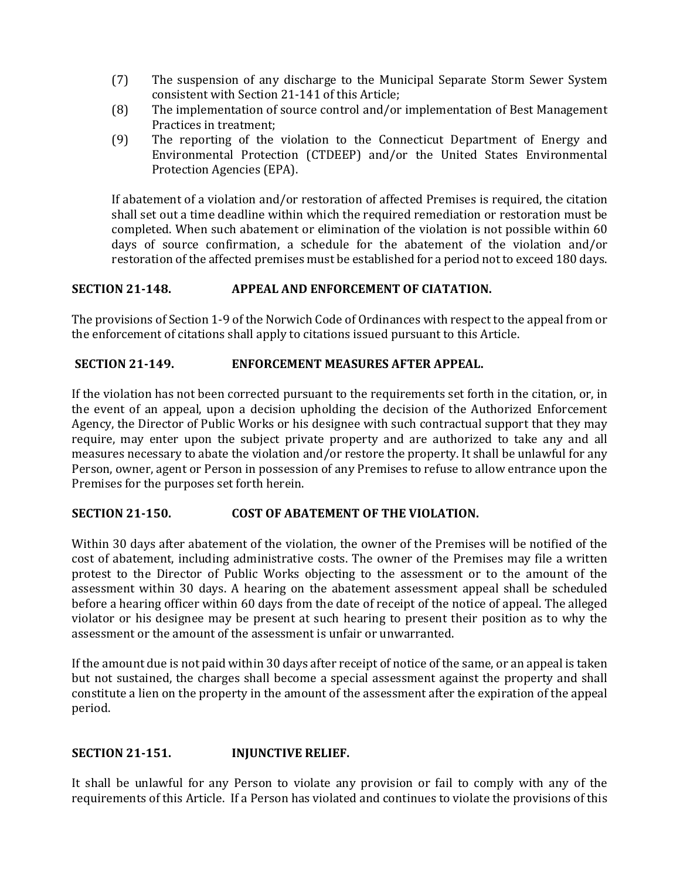- (7) The suspension of any discharge to the Municipal Separate Storm Sewer System consistent with Section 21-141 of this Article;
- (8) The implementation of source control and/or implementation of Best Management Practices in treatment;
- (9) The reporting of the violation to the Connecticut Department of Energy and Environmental Protection (CTDEEP) and/or the United States Environmental Protection Agencies (EPA).

If abatement of a violation and/or restoration of affected Premises is required, the citation shall set out a time deadline within which the required remediation or restoration must be completed. When such abatement or elimination of the violation is not possible within 60 days of source confirmation, a schedule for the abatement of the violation and/or restoration of the affected premises must be established for a period not to exceed 180 days.

### **SECTION 21-148. APPEAL AND ENFORCEMENT OF CIATATION.**

The provisions of Section 1-9 of the Norwich Code of Ordinances with respect to the appeal from or the enforcement of citations shall apply to citations issued pursuant to this Article.

#### **SECTION 21-149. ENFORCEMENT MEASURES AFTER APPEAL.**

If the violation has not been corrected pursuant to the requirements set forth in the citation, or, in the event of an appeal, upon a decision upholding the decision of the Authorized Enforcement Agency, the Director of Public Works or his designee with such contractual support that they may require, may enter upon the subject private property and are authorized to take any and all measures necessary to abate the violation and/or restore the property. It shall be unlawful for any Person, owner, agent or Person in possession of any Premises to refuse to allow entrance upon the Premises for the purposes set forth herein.

## **SECTION 21-150. COST OF ABATEMENT OF THE VIOLATION.**

Within 30 days after abatement of the violation, the owner of the Premises will be notified of the cost of abatement, including administrative costs. The owner of the Premises may file a written protest to the Director of Public Works objecting to the assessment or to the amount of the assessment within 30 days. A hearing on the abatement assessment appeal shall be scheduled before a hearing officer within 60 days from the date of receipt of the notice of appeal. The alleged violator or his designee may be present at such hearing to present their position as to why the assessment or the amount of the assessment is unfair or unwarranted.

If the amount due is not paid within 30 days after receipt of notice of the same, or an appeal is taken but not sustained, the charges shall become a special assessment against the property and shall constitute a lien on the property in the amount of the assessment after the expiration of the appeal period.

### **SECTION 21-151. INJUNCTIVE RELIEF.**

It shall be unlawful for any Person to violate any provision or fail to comply with any of the requirements of this Article. If a Person has violated and continues to violate the provisions of this